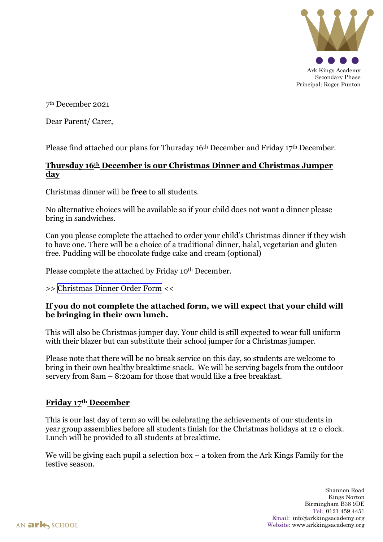

7th December 2021

Dear Parent/ Carer,

Please find attached our plans for Thursday 16<sup>th</sup> December and Friday 17<sup>th</sup> December.

## **Thursday 16th December is our Christmas Dinner and Christmas Jumper day**

Christmas dinner will be **free** to all students.

No alternative choices will be available so if your child does not want a dinner please bring in sandwiches.

Can you please complete the attached to order your child's Christmas dinner if they wish to have one. There will be a choice of a traditional dinner, halal, vegetarian and gluten free. Pudding will be chocolate fudge cake and cream (optional)

Please complete the attached by Friday 10<sup>th</sup> December.

[>> Christmas Dinner Order Form <<](https://forms.office.com/Pages/ResponsePage.aspx?id=dBTLADSljUaCn2NuzjLCTDwsgitUNwhIjUIFrIHWhMxUQk9WUDlDNlYwNkQ1Vk1TM1FQTlZFSEZKVC4u)

## **If you do not complete the attached form, we will expect that your child will be bringing in their own lunch.**

This will also be Christmas jumper day. Your child is still expected to wear full uniform with their blazer but can substitute their school jumper for a Christmas jumper.

Please note that there will be no break service on this day, so students are welcome to bring in their own healthy breaktime snack. We will be serving bagels from the outdoor servery from 8am – 8:20am for those that would like a free breakfast.

## **Friday 17th December**

This is our last day of term so will be celebrating the achievements of our students in year group assemblies before all students finish for the Christmas holidays at 12 o clock. Lunch will be provided to all students at breaktime.

We will be giving each pupil a selection box – a token from the Ark Kings Family for the festive season.